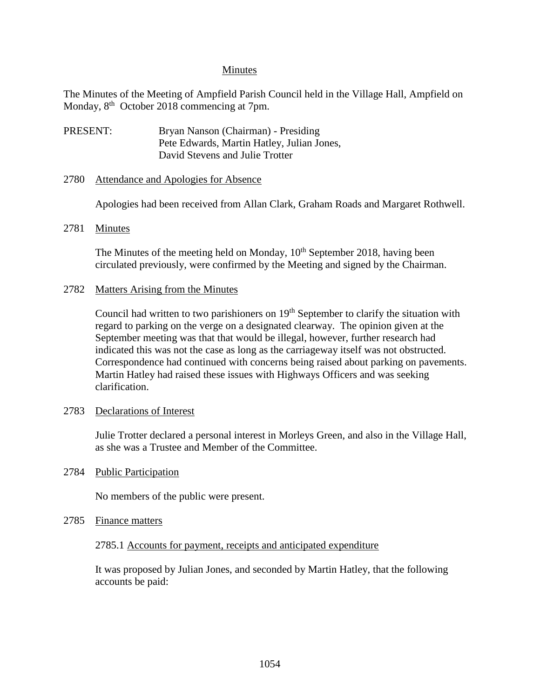### Minutes

The Minutes of the Meeting of Ampfield Parish Council held in the Village Hall, Ampfield on Monday, 8<sup>th</sup> October 2018 commencing at 7pm.

PRESENT: Bryan Nanson (Chairman) - Presiding Pete Edwards, Martin Hatley, Julian Jones, David Stevens and Julie Trotter

#### 2780 Attendance and Apologies for Absence

Apologies had been received from Allan Clark, Graham Roads and Margaret Rothwell.

#### 2781 Minutes

The Minutes of the meeting held on Monday,  $10<sup>th</sup>$  September 2018, having been circulated previously, were confirmed by the Meeting and signed by the Chairman.

#### 2782 Matters Arising from the Minutes

Council had written to two parishioners on  $19<sup>th</sup>$  September to clarify the situation with regard to parking on the verge on a designated clearway. The opinion given at the September meeting was that that would be illegal, however, further research had indicated this was not the case as long as the carriageway itself was not obstructed. Correspondence had continued with concerns being raised about parking on pavements. Martin Hatley had raised these issues with Highways Officers and was seeking clarification.

## 2783 Declarations of Interest

Julie Trotter declared a personal interest in Morleys Green, and also in the Village Hall, as she was a Trustee and Member of the Committee.

## 2784 Public Participation

No members of the public were present.

## 2785 Finance matters

## 2785.1 Accounts for payment, receipts and anticipated expenditure

It was proposed by Julian Jones, and seconded by Martin Hatley, that the following accounts be paid: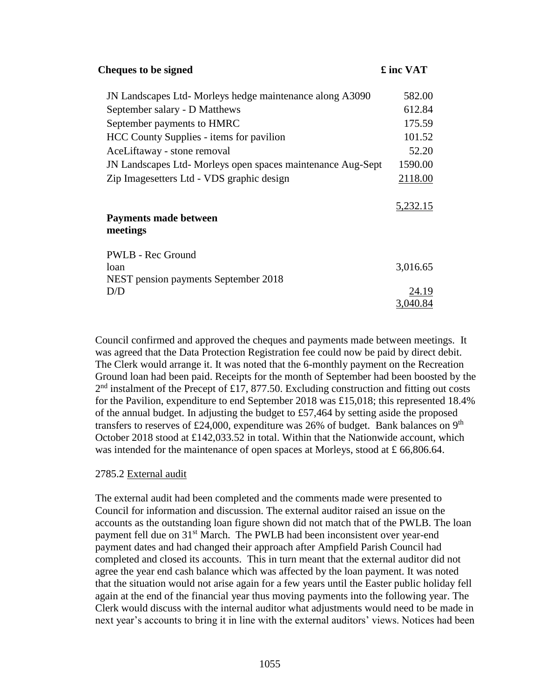| <b>Cheques to be signed</b>                                 | £ inc VAT |
|-------------------------------------------------------------|-----------|
| JN Landscapes Ltd-Morleys hedge maintenance along A3090     | 582.00    |
| September salary - D Matthews                               | 612.84    |
| September payments to HMRC                                  | 175.59    |
| HCC County Supplies - items for pavilion                    | 101.52    |
| AceLiftaway - stone removal                                 | 52.20     |
| JN Landscapes Ltd- Morleys open spaces maintenance Aug-Sept | 1590.00   |
| Zip Images etters Ltd - VDS graphic design                  | 2118.00   |
|                                                             | 5,232.15  |
| Payments made between                                       |           |
| meetings                                                    |           |
| PWLB - Rec Ground                                           |           |
| loan                                                        | 3,016.65  |
| NEST pension payments September 2018                        |           |
| D/D                                                         | 24.19     |
|                                                             | 3,040.84  |

Council confirmed and approved the cheques and payments made between meetings. It was agreed that the Data Protection Registration fee could now be paid by direct debit. The Clerk would arrange it. It was noted that the 6-monthly payment on the Recreation Ground loan had been paid. Receipts for the month of September had been boosted by the  $2<sup>nd</sup>$  instalment of the Precept of £17, 877.50. Excluding construction and fitting out costs for the Pavilion, expenditure to end September 2018 was £15,018; this represented 18.4% of the annual budget. In adjusting the budget to  $£57,464$  by setting aside the proposed transfers to reserves of £24,000, expenditure was 26% of budget. Bank balances on  $9<sup>th</sup>$ October 2018 stood at £142,033.52 in total. Within that the Nationwide account, which was intended for the maintenance of open spaces at Morleys, stood at £ 66,806.64.

## 2785.2 External audit

The external audit had been completed and the comments made were presented to Council for information and discussion. The external auditor raised an issue on the accounts as the outstanding loan figure shown did not match that of the PWLB. The loan payment fell due on 31<sup>st</sup> March. The PWLB had been inconsistent over year-end payment dates and had changed their approach after Ampfield Parish Council had completed and closed its accounts. This in turn meant that the external auditor did not agree the year end cash balance which was affected by the loan payment. It was noted that the situation would not arise again for a few years until the Easter public holiday fell again at the end of the financial year thus moving payments into the following year. The Clerk would discuss with the internal auditor what adjustments would need to be made in next year's accounts to bring it in line with the external auditors' views. Notices had been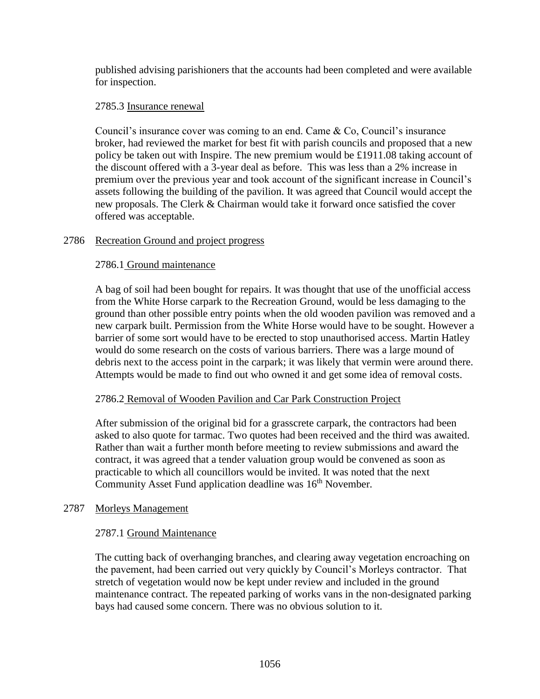published advising parishioners that the accounts had been completed and were available for inspection.

# 2785.3 Insurance renewal

Council's insurance cover was coming to an end. Came & Co, Council's insurance broker, had reviewed the market for best fit with parish councils and proposed that a new policy be taken out with Inspire. The new premium would be £1911.08 taking account of the discount offered with a 3-year deal as before. This was less than a 2% increase in premium over the previous year and took account of the significant increase in Council's assets following the building of the pavilion. It was agreed that Council would accept the new proposals. The Clerk & Chairman would take it forward once satisfied the cover offered was acceptable.

# 2786 Recreation Ground and project progress

# 2786.1 Ground maintenance

A bag of soil had been bought for repairs. It was thought that use of the unofficial access from the White Horse carpark to the Recreation Ground, would be less damaging to the ground than other possible entry points when the old wooden pavilion was removed and a new carpark built. Permission from the White Horse would have to be sought. However a barrier of some sort would have to be erected to stop unauthorised access. Martin Hatley would do some research on the costs of various barriers. There was a large mound of debris next to the access point in the carpark; it was likely that vermin were around there. Attempts would be made to find out who owned it and get some idea of removal costs.

## 2786.2 Removal of Wooden Pavilion and Car Park Construction Project

After submission of the original bid for a grasscrete carpark, the contractors had been asked to also quote for tarmac. Two quotes had been received and the third was awaited. Rather than wait a further month before meeting to review submissions and award the contract, it was agreed that a tender valuation group would be convened as soon as practicable to which all councillors would be invited. It was noted that the next Community Asset Fund application deadline was 16<sup>th</sup> November.

## 2787 Morleys Management

# 2787.1 Ground Maintenance

The cutting back of overhanging branches, and clearing away vegetation encroaching on the pavement, had been carried out very quickly by Council's Morleys contractor. That stretch of vegetation would now be kept under review and included in the ground maintenance contract. The repeated parking of works vans in the non-designated parking bays had caused some concern. There was no obvious solution to it.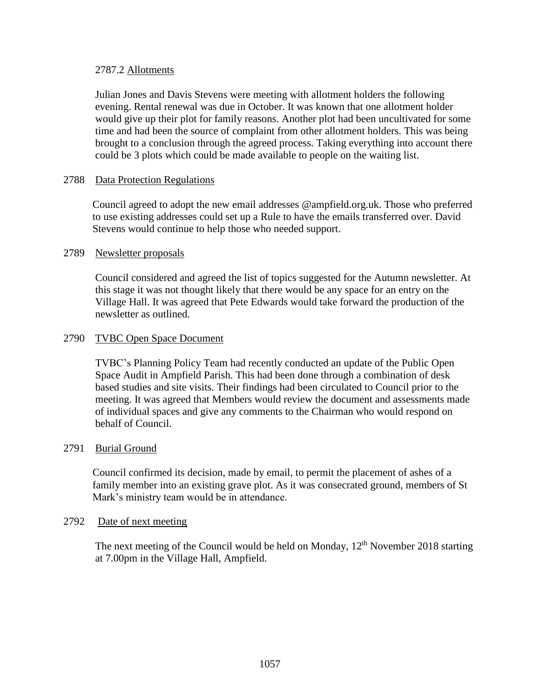# 2787.2 Allotments

Julian Jones and Davis Stevens were meeting with allotment holders the following evening. Rental renewal was due in October. It was known that one allotment holder would give up their plot for family reasons. Another plot had been uncultivated for some time and had been the source of complaint from other allotment holders. This was being brought to a conclusion through the agreed process. Taking everything into account there could be 3 plots which could be made available to people on the waiting list.

# 2788 Data Protection Regulations

Council agreed to adopt the new email addresses @ampfield.org.uk. Those who preferred to use existing addresses could set up a Rule to have the emails transferred over. David Stevens would continue to help those who needed support.

## 2789 Newsletter proposals

Council considered and agreed the list of topics suggested for the Autumn newsletter. At this stage it was not thought likely that there would be any space for an entry on the Village Hall. It was agreed that Pete Edwards would take forward the production of the newsletter as outlined.

## 2790 TVBC Open Space Document

TVBC's Planning Policy Team had recently conducted an update of the Public Open Space Audit in Ampfield Parish. This had been done through a combination of desk based studies and site visits. Their findings had been circulated to Council prior to the meeting. It was agreed that Members would review the document and assessments made of individual spaces and give any comments to the Chairman who would respond on behalf of Council.

## 2791 Burial Ground

Council confirmed its decision, made by email, to permit the placement of ashes of a family member into an existing grave plot. As it was consecrated ground, members of St Mark's ministry team would be in attendance.

## 2792 Date of next meeting

The next meeting of the Council would be held on Monday, 12<sup>th</sup> November 2018 starting at 7.00pm in the Village Hall, Ampfield.